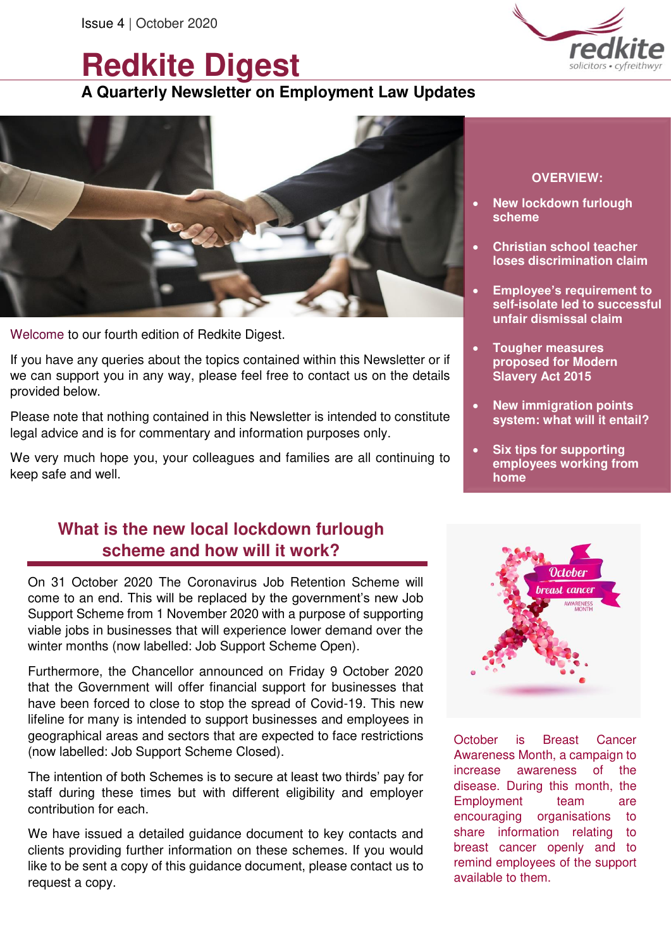# **Redkite Digest**

# **A Quarterly Newsletter on Employment Law Updates**



Welcome to our fourth edition of Redkite Digest.

If you have any queries about the topics contained within this Newsletter or if we can support you in any way, please feel free to contact us on the details provided below.

Please note that nothing contained in this Newsletter is intended to constitute legal advice and is for commentary and information purposes only.

We very much hope you, your colleagues and families are all continuing to keep safe and well.

# **What is the new local lockdown furlough scheme and how will it work?**

On 31 October 2020 The Coronavirus Job Retention Scheme will come to an end. This will be replaced by the government's new Job Support Scheme from 1 November 2020 with a purpose of supporting viable jobs in businesses that will experience lower demand over the winter months (now labelled: Job Support Scheme Open).

Furthermore, the Chancellor announced on Friday 9 October 2020 that the Government will offer financial support for businesses that have been forced to close to stop the spread of Covid-19. This new lifeline for many is intended to support businesses and employees in geographical areas and sectors that are expected to face restrictions (now labelled: Job Support Scheme Closed).

The intention of both Schemes is to secure at least two thirds' pay for staff during these times but with different eligibility and employer contribution for each.

We have issued a detailed guidance document to key contacts and clients providing further information on these schemes. If you would like to be sent a copy of this guidance document, please contact us to request a copy.



#### **OVERVIEW:**

- **New lockdown furlough scheme**
- **Christian school teacher loses discrimination claim**
- **Employee's requirement to self-isolate led to successful unfair dismissal claim**
- **Tougher measures proposed for Modern Slavery Act 2015**
- **New immigration points system: what will it entail?**
- **Six tips for supporting employees working from home**



October is Breast Cancer Awareness Month, a campaign to increase awareness of the disease. During this month, the Employment team are encouraging organisations to share information relating to breast cancer openly and to remind employees of the support available to them.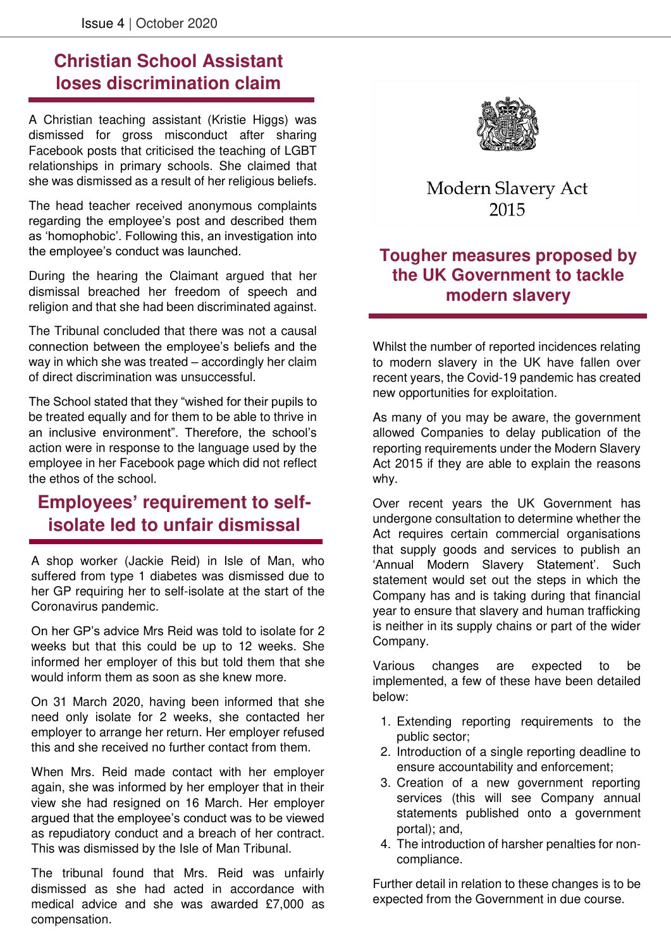j

# **Christian School Assistant loses discrimination claim**

A Christian teaching assistant (Kristie Higgs) was dismissed for gross misconduct after sharing Facebook posts that criticised the teaching of LGBT relationships in primary schools. She claimed that she was dismissed as a result of her religious beliefs.

The head teacher received anonymous complaints regarding the employee's post and described them as 'homophobic'. Following this, an investigation into the employee's conduct was launched.

During the hearing the Claimant argued that her dismissal breached her freedom of speech and religion and that she had been discriminated against.

The Tribunal concluded that there was not a causal connection between the employee's beliefs and the way in which she was treated – accordingly her claim of direct discrimination was unsuccessful.

The School stated that they "wished for their pupils to be treated equally and for them to be able to thrive in an inclusive environment". Therefore, the school's action were in response to the language used by the employee in her Facebook page which did not reflect the ethos of the school.

# **Employees' requirement to selfisolate led to unfair dismissal**

A shop worker (Jackie Reid) in Isle of Man, who suffered from type 1 diabetes was dismissed due to her GP requiring her to self-isolate at the start of the Coronavirus pandemic.

On her GP's advice Mrs Reid was told to isolate for 2 weeks but that this could be up to 12 weeks. She informed her employer of this but told them that she would inform them as soon as she knew more.

On 31 March 2020, having been informed that she need only isolate for 2 weeks, she contacted her employer to arrange her return. Her employer refused this and she received no further contact from them.

When Mrs. Reid made contact with her employer again, she was informed by her employer that in their view she had resigned on 16 March. Her employer argued that the employee's conduct was to be viewed as repudiatory conduct and a breach of her contract. This was dismissed by the Isle of Man Tribunal.

The tribunal found that Mrs. Reid was unfairly dismissed as she had acted in accordance with medical advice and she was awarded £7,000 as compensation.



### Modern Slavery Act 2015

#### **Tougher measures proposed by the UK Government to tackle modern slavery**

Whilst the number of reported incidences relating to modern slavery in the UK have fallen over recent years, the Covid-19 pandemic has created new opportunities for exploitation.

As many of you may be aware, the government allowed Companies to delay publication of the reporting requirements under the Modern Slavery Act 2015 if they are able to explain the reasons why.

Over recent years the UK Government has undergone consultation to determine whether the Act requires certain commercial organisations that supply goods and services to publish an 'Annual Modern Slavery Statement'. Such statement would set out the steps in which the Company has and is taking during that financial year to ensure that slavery and human trafficking is neither in its supply chains or part of the wider Company.

Various changes are expected to be implemented, a few of these have been detailed below:

- 1. Extending reporting requirements to the public sector;
- 2. Introduction of a single reporting deadline to ensure accountability and enforcement;
- 3. Creation of a new government reporting services (this will see Company annual statements published onto a government portal); and,
- 4. The introduction of harsher penalties for noncompliance.

Further detail in relation to these changes is to be expected from the Government in due course.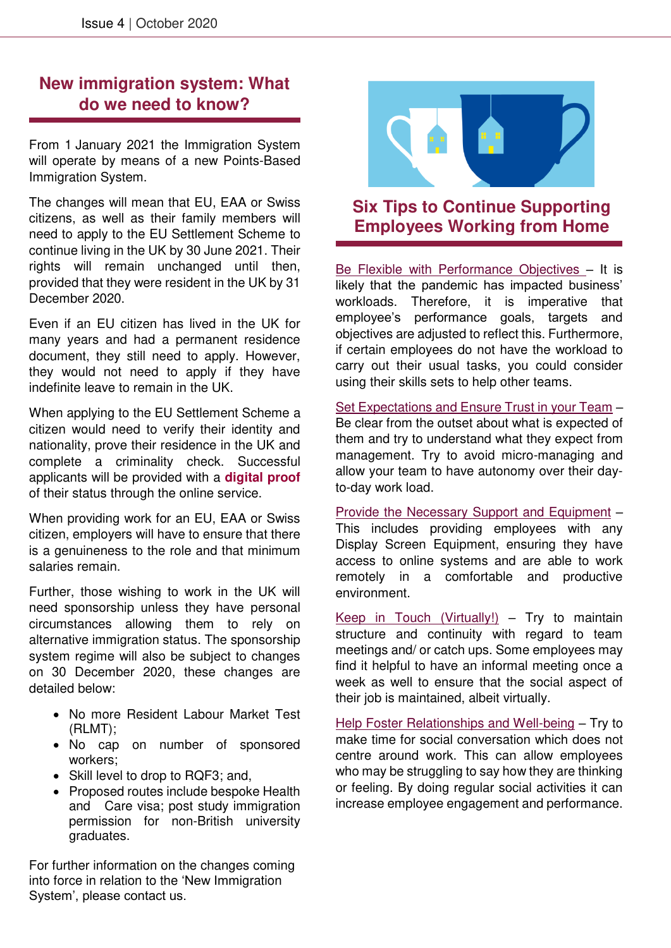#### **New immigration system: What do we need to know?**

From 1 January 2021 the Immigration System will operate by means of a new Points-Based Immigration System.

The changes will mean that EU, EAA or Swiss citizens, as well as their family members will need to apply to the EU Settlement Scheme to continue living in the UK by 30 June 2021. Their rights will remain unchanged until then, provided that they were resident in the UK by 31 December 2020.

Even if an EU citizen has lived in the UK for many years and had a permanent residence document, they still need to apply. However, they would not need to apply if they have indefinite leave to remain in the UK.

When applying to the EU Settlement Scheme a citizen would need to verify their identity and nationality, prove their residence in the UK and complete a criminality check. Successful applicants will be provided with a **digital proof** of their status through the online service.

When providing work for an EU, EAA or Swiss citizen, employers will have to ensure that there is a genuineness to the role and that minimum salaries remain.

Further, those wishing to work in the UK will need sponsorship unless they have personal circumstances allowing them to rely on alternative immigration status. The sponsorship system regime will also be subject to changes on 30 December 2020, these changes are detailed below:

- No more Resident Labour Market Test (RLMT);
- No cap on number of sponsored workers;
- Skill level to drop to RQF3; and,
- Proposed routes include bespoke Health and Care visa; post study immigration permission for non-British university graduates.

For further information on the changes coming into force in relation to the 'New Immigration System', please contact us.



#### **Six Tips to Continue Supporting Employees Working from Home**

Be Flexible with Performance Objectives – It is likely that the pandemic has impacted business' workloads. Therefore, it is imperative that employee's performance goals, targets and objectives are adjusted to reflect this. Furthermore, if certain employees do not have the workload to carry out their usual tasks, you could consider using their skills sets to help other teams.

Set Expectations and Ensure Trust in your Team – Be clear from the outset about what is expected of them and try to understand what they expect from management. Try to avoid micro-managing and allow your team to have autonomy over their dayto-day work load.

Provide the Necessary Support and Equipment – This includes providing employees with any Display Screen Equipment, ensuring they have access to online systems and are able to work remotely in a comfortable and productive environment.

Keep in Touch (Virtually!)  $-$  Try to maintain structure and continuity with regard to team meetings and/ or catch ups. Some employees may find it helpful to have an informal meeting once a week as well to ensure that the social aspect of their job is maintained, albeit virtually.

Help Foster Relationships and Well-being – Try to make time for social conversation which does not centre around work. This can allow employees who may be struggling to say how they are thinking or feeling. By doing regular social activities it can increase employee engagement and performance.